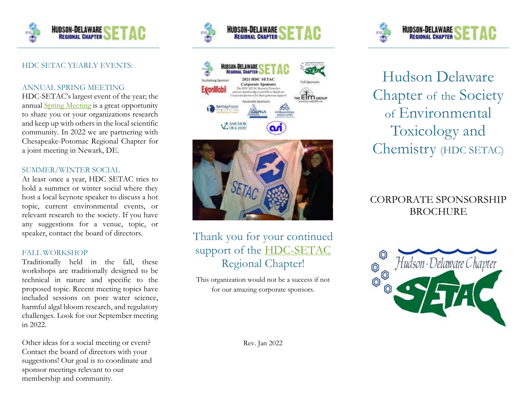

### HDC SETAC YEARLY EVENTS:

#### ANNUAL SPRING MEETING

HDC-SETAC's largest event of the year; the annual [Spring Meeting](https://hdcsetac.wildapricot.org/Joint-Spring-2022-Meeting) is a great opportunity to share you or your organizations research and keep up with others in the local scientific community. In 2022 we are partnering with Chesapeake-Potomac Regional Chapter for a joint meeting in Newark, DE.

#### SUMMER/WINTER SOCIAL

At least once a year, HDC SETAC tries to hold a summer or winter social where they host a local keynote speaker to discuss a hot topic, current environmental events, or relevant research to the society. If you have any suggestions for a venue, topic, or speaker, contact the board of directors.

#### FALL WORKSHOP

Traditionally held in the fall, these workshops are traditionally designed to be technical in nature and specific to the proposed topic. Recent meeting topics have included sessions on pore water science, harmful algal bloom research, and regulatory challenges. Look for our September meeting in 2022.

Other ideas for a social meeting or event? Contact the board of directors with your suggestions! Our goal is to coordinate and sponsor meetings relevant to our membership and community.







## Thank you for your continued support of the **HDC-SETAC** Regional Chapter!

This organization would not be a success if not for our amazing corporate sponsors.



Hudson Delaware Chapter of the Society of Environmental Toxicology and Chemistry (HDC SETAC)

## CORPORATE SPONSORSHIP BROCHURE



Rev. Jan 2022